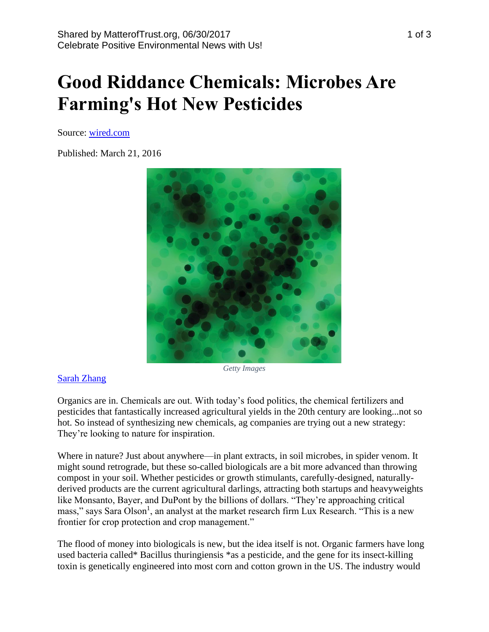# **Good Riddance Chemicals: Microbes Are Farming's Hot New Pesticides**

Source: [wired.com](https://www.wired.com/2016/03/good-riddance-chemicals-microbes-farmings-hot-new-pesticides/)

Published: March 21, 2016



#### *Getty Images*

#### [Sarah Zhang](https://www.wired.com/author/sarah-zhang)

Organics are in. Chemicals are out. With today's food politics, the chemical fertilizers and pesticides that fantastically increased agricultural yields in the 20th century are looking...not so hot. So instead of synthesizing new chemicals, ag companies are trying out a new strategy: They're looking to nature for inspiration.

Where in nature? Just about anywhere—in plant extracts, in soil microbes, in spider venom. It might sound retrograde, but these so-called biologicals are a bit more advanced than throwing compost in your soil. Whether pesticides or growth stimulants, carefully-designed, naturallyderived products are the current agricultural darlings, attracting both startups and heavyweights like Monsanto, Bayer, and DuPont by the billions of dollars. "They're approaching critical mass," says Sara Olson<sup>1</sup>, an analyst at the market research firm Lux Research. "This is a new frontier for crop protection and crop management."

The flood of money into biologicals is new, but the idea itself is not. Organic farmers have long used bacteria called\* Bacillus thuringiensis \*as a pesticide, and the gene for its insect-killing toxin is genetically engineered into most corn and cotton grown in the US. The industry would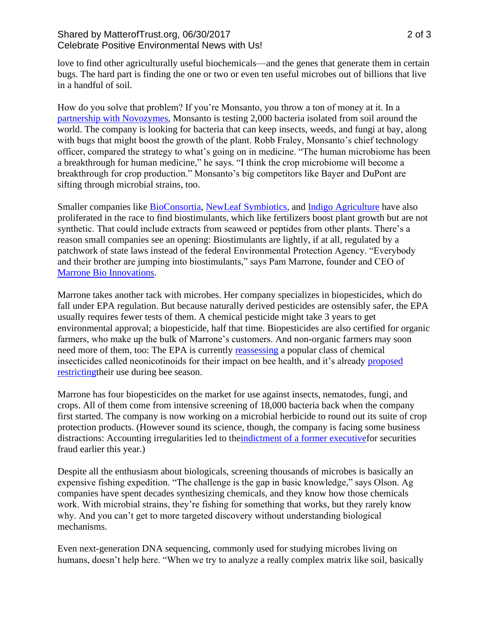### Shared by MatterofTrust.org, 06/30/2017 2 of 3 Celebrate Positive Environmental News with Us!

love to find other agriculturally useful biochemicals—and the genes that generate them in certain bugs. The hard part is finding the one or two or even ten useful microbes out of billions that live in a handful of soil.

How do you solve that problem? If you're Monsanto, you throw a ton of money at it. In a [partnership with Novozymes,](http://www.novozymes.com/en/solutions/agriculture/The-BioAg-Alliance/Pages/default.aspx) Monsanto is testing 2,000 bacteria isolated from soil around the world. The company is looking for bacteria that can keep insects, weeds, and fungi at bay, along with bugs that might boost the growth of the plant. Robb Fraley, Monsanto's chief technology officer, compared the strategy to what's going on in medicine. "The human microbiome has been a breakthrough for human medicine," he says. "I think the crop microbiome will become a breakthrough for crop production." Monsanto's big competitors like Bayer and DuPont are sifting through microbial strains, too.

Smaller companies like [BioConsortia,](http://bioconsortia.com/) [NewLeaf Symbiotics,](http://www.newleafsym.com/) and [Indigo Agriculture](http://www.indigoag.com/) have also proliferated in the race to find biostimulants, which like fertilizers boost plant growth but are not synthetic. That could include extracts from seaweed or peptides from other plants. There's a reason small companies see an opening: Biostimulants are lightly, if at all, regulated by a patchwork of state laws instead of the federal Environmental Protection Agency. "Everybody and their brother are jumping into biostimulants," says Pam Marrone, founder and CEO of [Marrone Bio Innovations.](http://marronebioinnovations.com/)

Marrone takes another tack with microbes. Her company specializes in biopesticides, which do fall under EPA regulation. But because naturally derived pesticides are ostensibly safer, the EPA usually requires fewer tests of them. A chemical pesticide might take 3 years to get environmental approval; a biopesticide, half that time. Biopesticides are also certified for organic farmers, who make up the bulk of Marrone's customers. And non-organic farmers may soon need more of them, too: The EPA is currently [reassessing](https://www.epa.gov/pollinator-protection/schedule-review-neonicotinoid-pesticides) a popular class of chemical insecticides called neonicotinoids for their impact on bee health, and it's already [proposed](https://www.epa.gov/pollinator-protection/proposal-protect-bees-acutely-toxic-pesticides)  [restrictingt](https://www.epa.gov/pollinator-protection/proposal-protect-bees-acutely-toxic-pesticides)heir use during bee season.

Marrone has four biopesticides on the market for use against insects, nematodes, fungi, and crops. All of them come from intensive screening of 18,000 bacteria back when the company first started. The company is now working on a microbial herbicide to round out its suite of crop protection products. (However sound its science, though, the company is facing some business distractions: Accounting irregularities led to th[eindictment of a former executivef](http://www.sacbee.com/news/business/article60842687.html)or securities fraud earlier this year.)

Despite all the enthusiasm about biologicals, screening thousands of microbes is basically an expensive fishing expedition. "The challenge is the gap in basic knowledge," says Olson. Ag companies have spent decades synthesizing chemicals, and they know how those chemicals work. With microbial strains, they're fishing for something that works, but they rarely know why. And you can't get to more targeted discovery without understanding biological mechanisms.

Even next-generation DNA sequencing, commonly used for studying microbes living on humans, doesn't help here. "When we try to analyze a really complex matrix like soil, basically